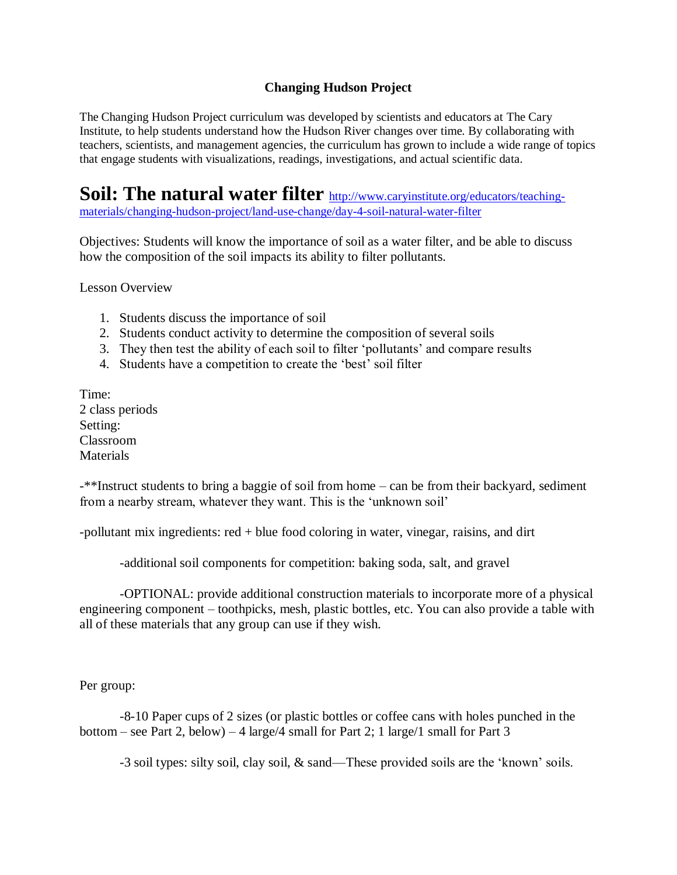## **Changing Hudson Project**

The Changing Hudson Project curriculum was developed by scientists and educators at The Cary Institute, to help students understand how the Hudson River changes over time. By collaborating with teachers, scientists, and management agencies, the curriculum has grown to include a wide range of topics that engage students with visualizations, readings, investigations, and actual scientific data.

**Soil: The natural water filter** [http://www.caryinstitute.org/educators/teaching](http://www.caryinstitute.org/educators/teaching-materials/changing-hudson-project/land-use-change/day-4-soil-natural-water-filter)[materials/changing-hudson-project/land-use-change/day-4-soil-natural-water-filter](http://www.caryinstitute.org/educators/teaching-materials/changing-hudson-project/land-use-change/day-4-soil-natural-water-filter)

Objectives: Students will know the importance of soil as a water filter, and be able to discuss how the composition of the soil impacts its ability to filter pollutants.

Lesson Overview

- 1. Students discuss the importance of soil
- 2. Students conduct activity to determine the composition of several soils
- 3. They then test the ability of each soil to filter 'pollutants' and compare results
- 4. Students have a competition to create the 'best' soil filter

Time: 2 class periods Setting: Classroom Materials

-\*\*Instruct students to bring a baggie of soil from home – can be from their backyard, sediment from a nearby stream, whatever they want. This is the 'unknown soil'

-pollutant mix ingredients: red + blue food coloring in water, vinegar, raisins, and dirt

-additional soil components for competition: baking soda, salt, and gravel

 -OPTIONAL: provide additional construction materials to incorporate more of a physical engineering component – toothpicks, mesh, plastic bottles, etc. You can also provide a table with all of these materials that any group can use if they wish.

Per group:

 -8-10 Paper cups of 2 sizes (or plastic bottles or coffee cans with holes punched in the bottom – see Part 2, below) – 4 large/4 small for Part 2; 1 large/1 small for Part 3

-3 soil types: silty soil, clay soil, & sand—These provided soils are the 'known' soils.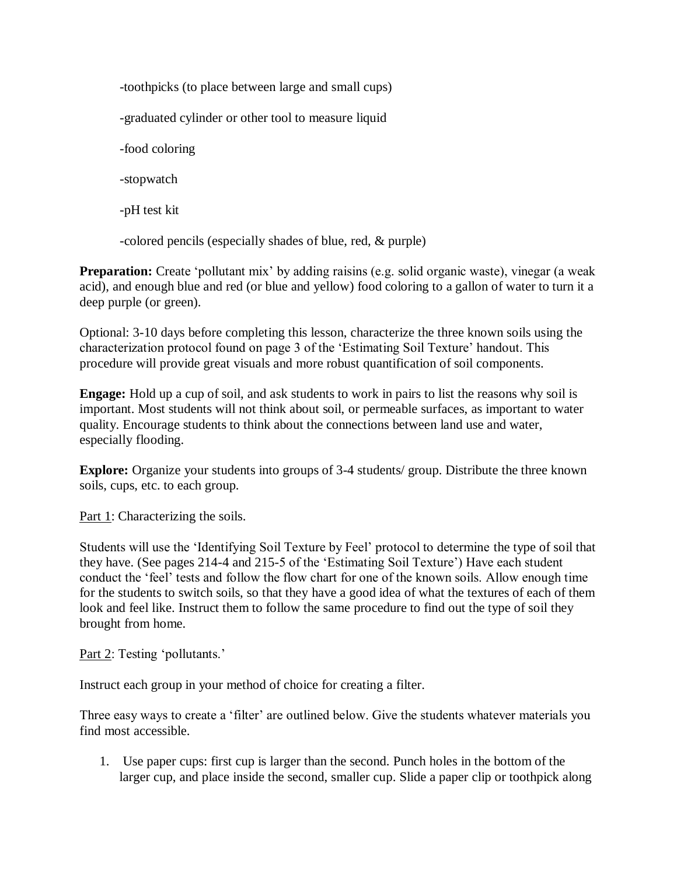-toothpicks (to place between large and small cups) -graduated cylinder or other tool to measure liquid -food coloring -stopwatch -pH test kit

-colored pencils (especially shades of blue, red, & purple)

**Preparation:** Create 'pollutant mix' by adding raisins (e.g. solid organic waste), vinegar (a weak acid), and enough blue and red (or blue and yellow) food coloring to a gallon of water to turn it a deep purple (or green).

Optional: 3-10 days before completing this lesson, characterize the three known soils using the characterization protocol found on page 3 of the 'Estimating Soil Texture' handout. This procedure will provide great visuals and more robust quantification of soil components.

**Engage:** Hold up a cup of soil, and ask students to work in pairs to list the reasons why soil is important. Most students will not think about soil, or permeable surfaces, as important to water quality. Encourage students to think about the connections between land use and water, especially flooding.

**Explore:** Organize your students into groups of 3-4 students/ group. Distribute the three known soils, cups, etc. to each group.

Part 1: Characterizing the soils.

Students will use the 'Identifying Soil Texture by Feel' protocol to determine the type of soil that they have. (See pages 214-4 and 215-5 of the 'Estimating Soil Texture') Have each student conduct the 'feel' tests and follow the flow chart for one of the known soils. Allow enough time for the students to switch soils, so that they have a good idea of what the textures of each of them look and feel like. Instruct them to follow the same procedure to find out the type of soil they brought from home.

Part 2: Testing 'pollutants.'

Instruct each group in your method of choice for creating a filter.

Three easy ways to create a 'filter' are outlined below. Give the students whatever materials you find most accessible.

1. Use paper cups: first cup is larger than the second. Punch holes in the bottom of the larger cup, and place inside the second, smaller cup. Slide a paper clip or toothpick along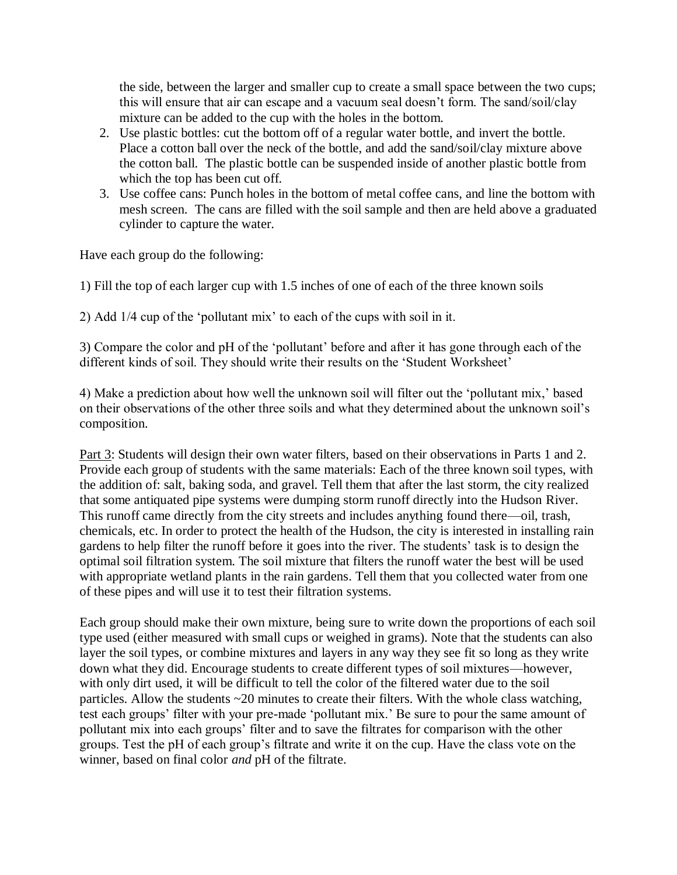the side, between the larger and smaller cup to create a small space between the two cups; this will ensure that air can escape and a vacuum seal doesn't form. The sand/soil/clay mixture can be added to the cup with the holes in the bottom.

- 2. Use plastic bottles: cut the bottom off of a regular water bottle, and invert the bottle. Place a cotton ball over the neck of the bottle, and add the sand/soil/clay mixture above the cotton ball. The plastic bottle can be suspended inside of another plastic bottle from which the top has been cut off.
- 3. Use coffee cans: Punch holes in the bottom of metal coffee cans, and line the bottom with mesh screen. The cans are filled with the soil sample and then are held above a graduated cylinder to capture the water.

Have each group do the following:

1) Fill the top of each larger cup with 1.5 inches of one of each of the three known soils

2) Add 1/4 cup of the 'pollutant mix' to each of the cups with soil in it.

3) Compare the color and pH of the 'pollutant' before and after it has gone through each of the different kinds of soil. They should write their results on the 'Student Worksheet'

4) Make a prediction about how well the unknown soil will filter out the 'pollutant mix,' based on their observations of the other three soils and what they determined about the unknown soil's composition.

Part 3: Students will design their own water filters, based on their observations in Parts 1 and 2. Provide each group of students with the same materials: Each of the three known soil types, with the addition of: salt, baking soda, and gravel. Tell them that after the last storm, the city realized that some antiquated pipe systems were dumping storm runoff directly into the Hudson River. This runoff came directly from the city streets and includes anything found there—oil, trash, chemicals, etc. In order to protect the health of the Hudson, the city is interested in installing rain gardens to help filter the runoff before it goes into the river. The students' task is to design the optimal soil filtration system. The soil mixture that filters the runoff water the best will be used with appropriate wetland plants in the rain gardens. Tell them that you collected water from one of these pipes and will use it to test their filtration systems.

Each group should make their own mixture, being sure to write down the proportions of each soil type used (either measured with small cups or weighed in grams). Note that the students can also layer the soil types, or combine mixtures and layers in any way they see fit so long as they write down what they did. Encourage students to create different types of soil mixtures—however, with only dirt used, it will be difficult to tell the color of the filtered water due to the soil particles. Allow the students ~20 minutes to create their filters. With the whole class watching, test each groups' filter with your pre-made 'pollutant mix.' Be sure to pour the same amount of pollutant mix into each groups' filter and to save the filtrates for comparison with the other groups. Test the pH of each group's filtrate and write it on the cup. Have the class vote on the winner, based on final color *and* pH of the filtrate.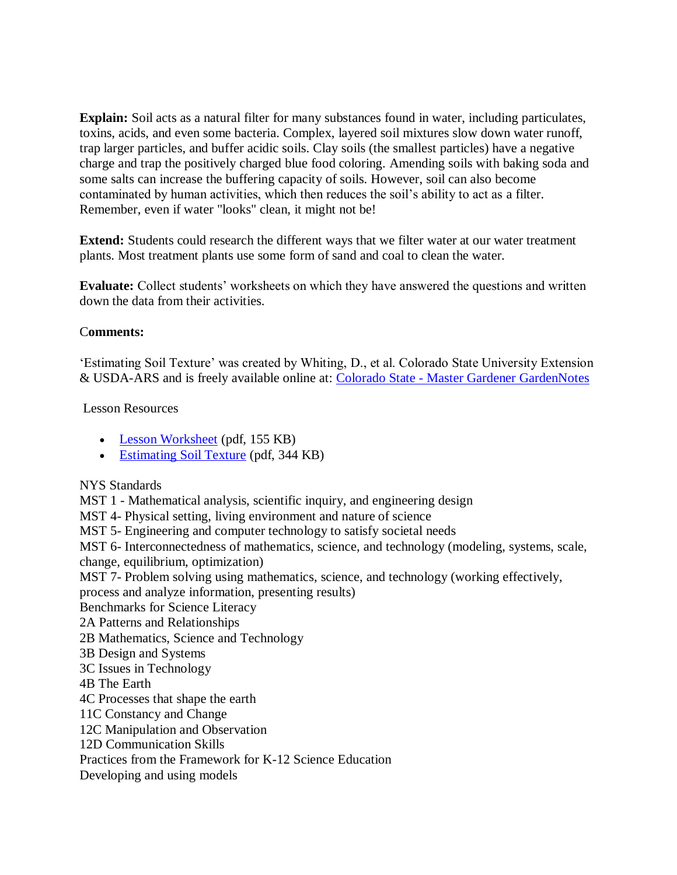**Explain:** Soil acts as a natural filter for many substances found in water, including particulates, toxins, acids, and even some bacteria. Complex, layered soil mixtures slow down water runoff, trap larger particles, and buffer acidic soils. Clay soils (the smallest particles) have a negative charge and trap the positively charged blue food coloring. Amending soils with baking soda and some salts can increase the buffering capacity of soils. However, soil can also become contaminated by human activities, which then reduces the soil's ability to act as a filter. Remember, even if water "looks" clean, it might not be!

**Extend:** Students could research the different ways that we filter water at our water treatment plants. Most treatment plants use some form of sand and coal to clean the water.

**Evaluate:** Collect students' worksheets on which they have answered the questions and written down the data from their activities.

## C**omments:**

'Estimating Soil Texture' was created by Whiting, D., et al. Colorado State University Extension & USDA-ARS and is freely available online at: Colorado State - [Master Gardener GardenNotes](http://bit.ly/12EOGaV)

## Lesson Resources

- [Lesson Worksheet](http://www.caryinstitute.org/sites/default/files/public/downloads/lesson-plans/soil-_the_natural_water_filter_worksheet.pdf) (pdf, 155 KB)
- [Estimating Soil Texture](http://www.caryinstitute.org/sites/default/files/public/downloads/lesson-plans/estimating_soil_texture.pdf) (pdf, 344 KB)

## NYS Standards

MST 1 - Mathematical analysis, scientific inquiry, and engineering design

MST 4- Physical setting, living environment and nature of science

MST 5- Engineering and computer technology to satisfy societal needs

MST 6- Interconnectedness of mathematics, science, and technology (modeling, systems, scale, change, equilibrium, optimization)

MST 7- Problem solving using mathematics, science, and technology (working effectively,

process and analyze information, presenting results)

Benchmarks for Science Literacy

- 2A Patterns and Relationships
- 2B Mathematics, Science and Technology
- 3B Design and Systems
- 3C Issues in Technology
- 4B The Earth

4C Processes that shape the earth

11C Constancy and Change

12C Manipulation and Observation

12D Communication Skills

Practices from the Framework for K-12 Science Education

Developing and using models